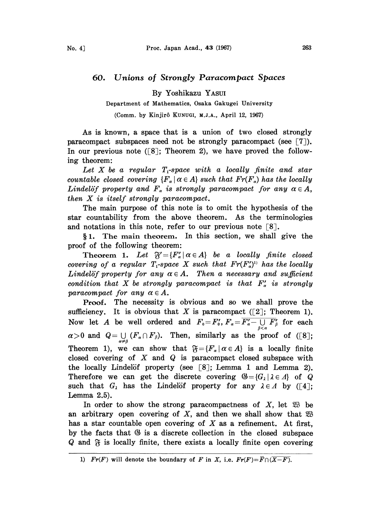## 60. Unions of Strongly Paracompact Spaces

By Yoshikazu YAsuI

Department of Mathematics, Osaka Gakugei University

(Comm. by Kinjirô Kunugi, M.J.A., April 12, 1967)

As is known, a space that is a union of two closed strongly paracompact subspaces need not be strongly paracompact (see  $\lceil 7 \rceil$ ). In our previous note  $(8)$ ; Theorem 2), we have proved the following theorem:

Let X be a regular  $T_1$ -space with a locally finite and star countable closed covering  ${F_\alpha \mid \alpha \in A}$  such that  $Fr(F_\alpha)$  has the locally Lindelöf property and  $F_{\alpha}$  is strongly paracompact for any  $\alpha \in A$ , then X is itself strongly paracompact.

The main purpose of this note is to omit the hypothesis of the star countability from the above theorem. As the terminologies and notations in this note, refer to our previous note  $\lceil 8 \rceil$ .

1. The main theorem. In this section, we shall give the proof of the following theorem:

Theorem 1. Let  $\mathfrak{F}' = \{F'_\alpha \mid \alpha \in A\}$  be a locally finite closed covering of a regular  $T_1$ -space X such that  $Fr(F'_\alpha)^{1}$  has the locally Lindelöf property for any  $\alpha \in A$ . Then a necessary and sufficient condition that X be strongly paracompact is that  $F'_a$  is strongly paracompact for any  $\alpha \in A$ .

Proof. The necessity is obvious and so we shall prove the sufficiency. It is obvious that X is paracompact ([2]; Theorem 1). Now let A be well ordered and  $F_0=F'_0, F_\alpha=\overline{F'_\alpha-\bigcup\limits_{\beta<\alpha} F'_\beta}$  for each  $\alpha>0$  and  $Q=\bigcup_{\alpha\neq\beta}(F_{\alpha}\cap F_{\beta})$ . Then, similarly as the proof of ([8]; Theorem 1), we can show that  $\mathfrak{F} = \{F_\alpha \mid \alpha \in A\}$  is a locally finite closed covering of  $X$  and  $Q$  is paracompact closed subspace with the locally Lindelöf property (see  $\lceil 8 \rceil$ ; Lemma 1 and Lemma 2). Therefore we can get the discrete covering  $\mathcal{B} = \{G_1 \mid \lambda \in \Lambda\}$  of Q such that  $G_{\lambda}$  has the Lindelöf property for any  $\lambda \in \Lambda$  by ([4]; Lemma 2.5).

In order to show the strong paracompactness of  $X$ , let  $\mathfrak{B}$  be an arbitrary open covering of X, and then we shall show that  $\mathfrak{B}$ has a star countable open covering of  $X$  as a refinement. At first, by the facts that  $\mathfrak{G}$  is a discrete collection in the closed subspace  $Q$  and  $\mathfrak F$  is locally finite, there exists a locally finite open covering

<sup>1)</sup>  $Fr(F)$  will denote the boundary of F in X, i.e.  $Fr(F) = \overline{F} \cap (\overline{X-F}).$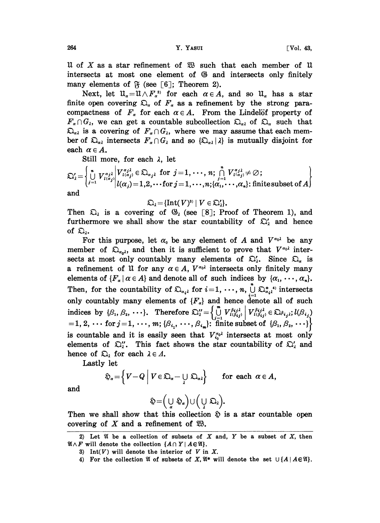U of X as a star refinement of  $\mathfrak W$  such that each member of U intersects at most one element of  $\otimes$  and intersects only finitely many elements of  $\mathfrak{F}$  (see [6]; Theorem 2).

Next, let  $\mathfrak{U}_{\alpha} = \mathfrak{U} \wedge F_{\alpha}^{2}$  for each  $\alpha \in A$ , and so  $\mathfrak{U}_{\alpha}$  has a star finite open covering  $\mathfrak{Q}_\alpha$  of  $F_\alpha$  as a refinement by the strong paracompactness of  $F_{\alpha}$  for each  $\alpha \in A$ . From the Lindelöf property of  $F_{\alpha} \cap G_{\lambda}$ , we can get a countable subcollection  $\mathfrak{Q}_{\alpha\lambda}$  of  $\mathfrak{Q}_{\alpha}$  such that  $\mathfrak{Q}_{\alpha\lambda}$  is a covering of  $F_{\alpha} \cap G_{\lambda}$ , where we may assume that each member of  $\Omega_{\alpha\lambda}$  intersects  $F_{\alpha} \cap G_{\lambda}$  and so  $\{\Omega_{\alpha\lambda} | \lambda\}$  is mutually disjoint for each  $\alpha \in A$ .

Still more, for each  $\lambda$ , let

$$
\mathfrak{Q}'_2 = \left\{ \bigcup_{j=1}^n V_{l(\alpha_j)}^{\alpha_{j\lambda}} \middle| V_{l(\alpha_j)}^{\alpha_{j\lambda}} \in \mathfrak{Q}_{\alpha_{j\lambda}} \text{ for } j=1,\cdots,n; \bigcap_{j=1}^n V_{l(\alpha_j)}^{\alpha_{j\lambda}} \neq \emptyset; \\ \text{and} \right\}
$$

 $\mathfrak{Q}_i = \{ \text{Int}(V)^{3i} \mid V \in \mathfrak{Q}'_i \}.$ 

Then  $\mathfrak{Q}_\lambda$  is a covering of  $\mathfrak{G}_\lambda$  (see [8]; Proof of Theorem 1), and furthermore we shall show the star countability of  $\mathfrak{Q}'_2$  and hence of  $\mathfrak{Q}_i$ .

For this purpose, let  $\alpha_0$  be any element of A and  $V^{\alpha_0\lambda}$  be any member of  $\mathfrak{D}_{\alpha_0\lambda}$ , and then it is sufficient to prove that  $V^{\alpha_0\lambda}$  intersects at most only countably many elements of  $\mathfrak{Q}'_2$ . Since  $\mathfrak{Q}_\alpha$  is a refinement of U for any  $\alpha \in A$ ,  $V^{\alpha_0\lambda}$  intersects only finitely many elements of  $\{F_{\alpha} | \alpha \in A\}$  and denote all of such indices by  $\{\alpha_1, \dots, \alpha_n\}.$ Then, for the countability of  $\mathfrak{Q}_{\alpha,i}$  for  $i=1,\dots,n$ ,  $\bigcup_{i=1}^{n} \mathfrak{Q}_{\alpha,i}^{*i}$  intersects only countably many elements of  $\{F_{\alpha}\}\$  and hence denote all of such<br>indices by  $\{\beta_1, \beta_2, \dots\}$ . Therefore  $\sum_{i=1}^{n} \left\{\bigcup_{i=1}^{m} V_{l(\beta_{ij})}^{\beta_{ij}\lambda}\right| V_{l(\beta_{ij})}^{\beta_{ij}\lambda} \in \sum_{i,j} l(\beta_{i,j})$ <br>=1, 2,  $\cdots$  for  $j = 1, \dots, m$ ; is countable and it is easily seen that  $V_{i_0}^{\alpha_0}$  intersects at most only elements of  $\mathfrak{Q}_i''$ . This fact shows the star countability of  $\mathfrak{Q}_i'$  and hence of  $\mathfrak{Q}_\lambda$  for each  $\lambda \in \Lambda$ .

Lastly let

$$
\mathfrak{D}_{\alpha} = \left\{ V - Q \mid V \in \mathfrak{D}_{\alpha} - \bigcup_{\lambda} \mathfrak{D}_{\alpha \lambda} \right\} \quad \text{for each } \alpha \in A,
$$

and

$$
\mathfrak{H}\!=\!\left(\underset{\alpha}{\cup}\ \mathfrak{H}_{\alpha}\right)\cup\left(\underset{\lambda}{\cup}\ \mathfrak{O}_{\lambda}\right)\!.
$$

Then we shall show that this collection  $\hat{\mathfrak{D}}$  is a star countable open covering of X and a refinement of  $\mathfrak{B}$ .

<sup>2)</sup> Let  $\mathfrak A$  be a collection of subsets of X and, Y be a subset of X, then  $\mathfrak{A} \wedge F$  will denote the collection  $\{A \cap Y \mid A \in \mathfrak{A}\}.$ 

<sup>3)</sup> Int(V) will denote the interior of V in X.

<sup>4)</sup> For the collection  $\mathfrak A$  of subsets of X,  $\mathfrak A^*$  will denote the set  $\cup \{A \mid A \in \mathfrak A\}$ .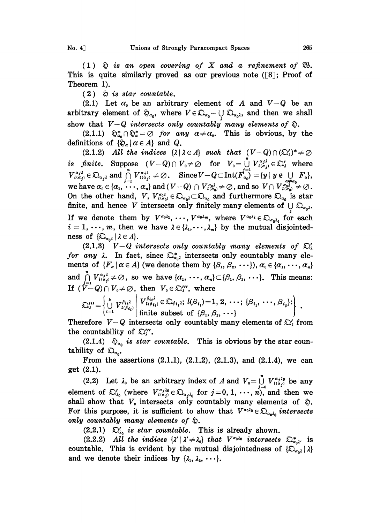(1)  $\hat{\varphi}$  is an open covering of X and a refinement of  $\mathfrak{B}$ . This is quite similarly proved as our previous note  $(8)$ ; Proof of Theorem 1).

 $(2)$   $\&$  is star countable.

(2.1) Let  $\alpha_0$  be an arbitrary element of A and  $V-Q$  be an arbitrary element of  $\mathfrak{D}_{\alpha_0}$ , where  $V \in \mathfrak{D}_{\alpha_0} \cup \mathfrak{D}_{\alpha_0}$ , and then we shall<br>show that  $V - Q$  intersects only countably many elements of  $\mathfrak{D}$ show that  $V-Q$  intersects only countably many elements of  $\mathfrak{D}$ .

(2.1.1)  $\mathfrak{D}_{\alpha_0}^* \cap \mathfrak{D}_{\alpha}^* = \emptyset$  for any  $\alpha \neq \alpha_0$ . This is obvious, by the definitions of  ${\{\mathfrak{D}}_{\alpha} | \alpha \in A\}$  and Q.

show that  $V-Q$  intersects only countably many elements of  $\mathfrak{D}$ .<br>
(2.1.1)  $\mathfrak{D}_{\alpha_0}^* \cap \mathfrak{D}_{\alpha}^* = \emptyset$  for any  $\alpha \neq \alpha_0$ . This is obvious, by the<br>
definitions of  $\{\mathfrak{D}_\alpha | \alpha \in A\}$  and  $Q$ .<br>
(2.1.2) All the (2.1.2) All the indices  $\{\lambda \mid \lambda \in \Lambda\}$  such that  $(V-Q) \cap (\Sigma_{\lambda}')^* \neq \emptyset$ On the other hand, V,  $V_{i(\alpha_0)}^{\alpha_0} \in \mathfrak{O}_{\alpha_0} \subset \mathfrak{O}_{\alpha_0}$  and furthermore  $\mathfrak{O}_{\alpha_0}$  is star  $\text{and } (V - Q) \cap V_{\iota(\alpha_0)}^{\alpha_0} \neq \emptyset$ , and so  $V \cap V_{\iota(\alpha_0)}^{\alpha_0} \neq \emptyset$ .<br> $\binom{\alpha_0}{\iota(\alpha_0)} \in \mathfrak{Q}_{\alpha_0} \iota \subset \mathfrak{Q}_{\alpha_0}$  and furthermore  $\mathfrak{Q}_{\alpha_0}$  is star finite, and hence V intersects only finitely many elements of  $\bigcup \mathfrak{Q}_{\alpha_0\lambda}$ . If we denote them by  $V^{\alpha_0\lambda_1}, \cdots, V^{\alpha_0\lambda_m}$ , where  $V^{\alpha_0\lambda_i} \in \mathfrak{D}_{\alpha_0\lambda_i}$  for each  $i=1,\ldots,m$ , then we have  $\lambda \in \{\lambda_1,\ldots,\lambda_m\}$  by the mutual disjointedness of  $\{\mathfrak{D}_{\alpha_0\lambda} \mid \lambda \in \Lambda\}.$ 

(2.1.3)  $V-Q$  intersects only countably many elements of  $\mathfrak{O}_\lambda$ for any  $\lambda$ . In fact, since  $\sum_{\alpha=1}^{\infty}$  intersects only countably many elements of  $\{F_\alpha \mid \alpha \in A\}$  (we denote them by  $\{\beta_1, \beta_2, \cdots\}$ ),  $\alpha_0 \in \{\alpha_1, \cdots, \alpha_n\}$ and  $\bigcap^n V$ =  $\{a_i\}_{i(\alpha_j)}^{\alpha_j} \neq \emptyset$ , so we have  $\{\alpha_1, \dots, \alpha_n\} \subset \{\beta_1, \beta_2, \dots\}$ . This means: If  $(V-Q) \cap V_0 \neq \emptyset$ , then  $V_0 \in \mathfrak{Q}_2''$ , where

$$
\mathfrak{Q}_2'''=\left\{\bigcup_{i=1}^k V_{l(\beta_{i_i})}^{\beta_{i_i}\lambda}\middle|\begin{array}{c}V_{l(\beta_{i_i})}^{\beta_{i_i}\lambda}\in\mathfrak{Q}_{\beta_{i_i}\lambda};\ l(\beta_{i_i})=1,\,2,\,\cdots;\ \{\beta_{i_1},\,\cdots,\,\beta_{i_p}\}:\\\ \text{finite subset of }\{\beta_1,\,\beta_2,\,\cdots\}\end{array}\right\}\right\}\ .
$$

Therefore  $V-Q$  intersects only countably many elements of  $\mathfrak{Q}'_1$  from the countability of  $\mathfrak{Q}''$ .

(2.1.4)  $\hat{\mathfrak{D}}_{\alpha_0}$  is star countable. This is obvious by the star countability of  $\mathfrak{Q}_{\alpha_0}$ .

From the assertions  $(2.1.1)$ ,  $(2.1.2)$ ,  $(2.1.3)$ , and  $(2.1.4)$ , we can  $get(2.1).$ 

(2.2) Let  $\lambda_0$  be an arbitrary index of  $\Lambda$  and  $V_0 = \bigcup_{j=0}^n V_{l(\alpha_j)}^{\alpha_j \lambda_0}$  be any (2.2) Let  $\lambda_0$  be an arbitrary index of  $\Lambda$  and  $V_0 = \bigcup_{j=0}^{n} V_{l(\alpha_j)}^{\alpha_{j} \lambda_0}$  be any element of  $\mathfrak{Q}'_{\lambda_0}$  (where  $V_{l(\alpha_j)}^{\alpha_{j} \lambda_0} \in \mathfrak{Q}_{\alpha_j \lambda_0}$  for  $j = 0, 1, \dots, n$ ), and then we shall show that  $V$  in shall show that  $V_0$  intersects only countably many elements of  $\mathfrak{D}$ . For this purpose, it is sufficient to show that  $V^{\alpha_0 \lambda_0} \in \mathfrak{D}_{\alpha_0 \lambda_0}$  intersects only countably many elements of  $\mathfrak{D}$ .

countably many elements by  $\mathfrak{D}$ .<br>(2.2.1)  $\mathfrak{D}'_{20}$  is star countable. This is already shown.

(2.2.2) All the indices  $\{\lambda' | \lambda' \neq \lambda_0\}$  that  $V^{\alpha_0 \lambda_0}$  intersects  $\mathfrak{D}^*_{\alpha_0 \lambda'}$  is countable. This is evident by the mutual disjointedness of  $\{\mathfrak{D}_{\alpha_0\lambda} \mid \lambda\}$ and we denote their indices by  $\{\lambda_1, \lambda_2, \cdots\}$ .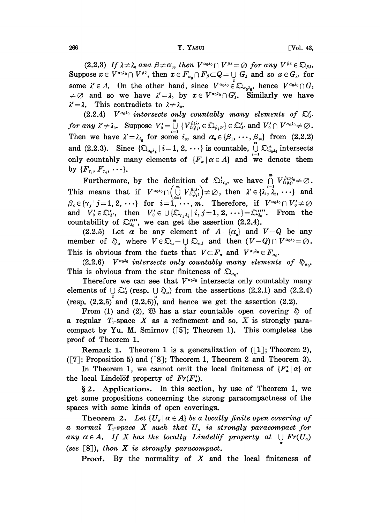266 Y. YASUI -Vol. 43,

(2.2.3) If  $\lambda \neq \lambda_0$  and  $\beta \neq \alpha_0$ , then  $V^{\alpha_0 \lambda_0} \cap V^{\beta \lambda} = \emptyset$  for any  $V^{\beta \lambda} \in \mathfrak{D}_{\beta \lambda}$ . Suppose  $x \in V^{\alpha_0 \lambda_0} \cap V^{\beta \lambda}$ , then  $x \in F_{\alpha_0} \cap F_{\beta} \subset Q = \bigcup_i G_{\lambda}$  and so  $x \in G_{\lambda}$ , for some  $\lambda' \in \Lambda$ . On the other hand, since  $V^{\alpha_0 \lambda_0} \in \mathfrak{D}_{\alpha_0 \lambda_0}$ , hence  $V^{\alpha_0 \lambda_0} \cap G_{\lambda}$ and so we have  $\lambda' = \lambda_0$  by  $x \in V^{\alpha_0 \lambda_0} \cap G'_{\lambda}$ . Similarly we have  $\lambda' = \lambda$ . This contradicts to  $\lambda \neq \lambda_0$ .

 $(2.2.4)$  V<sup> $\alpha_0\lambda_0$ </sup> intersects only countably many elements of  $\mathfrak{D}'_{\lambda'}$ (2.2.4)  $V^{a_0a_0}$  intersects only countably many elements of <br>for any  $\lambda' \neq \lambda_0$ . Suppose  $V'_0 = \bigcup_{i=1}^m \{V_{i(\beta_i)}^{\beta_i\lambda_i} \in \mathfrak{Q}_{\beta_i\lambda'}\} \in \mathfrak{Q}'_\lambda$  and  $V'_0 \cap V^{a_0\lambda_0} \neq$ Then we have  $\lambda' = \lambda_{i_0}$  for some  $i_0$ , and  $\alpha_0 \in {\beta_1, \dots, \beta_m}$  from (2.2.2)<br>and (2.2.3). Since  ${\{\mathfrak{Q}}_{\alpha,i}\mid i=1, 2, \dots\}}$  is countable,  $\bigcup_{i=1}^{\infty} {\mathfrak{Q}}_{\alpha,i}^*$  intersects and (2.2.3). Since  $\{\mathfrak{D}_{\alpha_0\lambda_i} \mid i=1, 2, \cdots\}$  is countable,  $\bigcup_{i=1}^{\infty} \mathfrak{D}_{\alpha_0\lambda_i}^*$  intersects only countably many elements of  ${F_{\alpha} | \alpha \in A}$  and we denote them by  $\{F_{r_1}, F_{r_2}, \cdots \}.$ 

Furthermore, by the definition of  $\sum_{i_0}^{l_i}$ , we have  $\bigcap_{i=1}^{m} V_{l(\beta_i)}^{\beta_{i\lambda i_0}} \neq \emptyset$ .<br>This means that if  $V^{\alpha_0 \lambda_0} \cap \left(\bigcup_{i=1}^{m} V_{l(\beta_i)}^{\beta_{i\lambda i}}\right) \neq \emptyset$ , then  $\lambda' \in \{\lambda_1, \lambda_2, \cdots\}$  and  $\beta_i \in \{\gamma_j | j = 1, 2$ and  $V_0' \in \mathfrak{Q}'_{\lambda'}$ , then  $V_0' \in \bigcup \{\mathfrak{Q}_{\tau,i_k} \mid i,j=1,2,\cdots\} = \mathfrak{Q}_{\lambda_0}'''.$  From the and  $V'_0 \in \mathfrak{Q}'_2$ , then  $V'_0 \in \mathbb{U} {\{\mathfrak{Q}_{r_{j\lambda_i}} | i, j = 1, 2, \cdots\}} = \mathfrak{Q}_{\lambda_0}''''$ . From the countability of  $\mathfrak{Q}_{\lambda_0}''''$ , we can get the assertion (2.2.4).<br>
(2.2.5) Let  $\alpha$  be any element of  $A - {\{\alpha_0\}}$  and  $V - Q$ countability of  $\sum_{\lambda_0}^{\prime\prime\prime\prime}$ , we can get the assertion (2.2.4).

(2.2.5) Let  $\alpha$  be any element of  $A-\{\alpha_0\}$  and  $V-Q$  be any This is obvious from the facts that  $V \subset F_\alpha$  and  $V^{\alpha_0 \lambda_0} \in F_{\alpha_0}$ .

(2.2.6)  $V^{\alpha_0 \lambda_0}$  intersects only countably many elements of  $\mathfrak{D}_{\alpha_0}$ . This is obvious from the star finiteness of  $\mathfrak{Q}_{\alpha}$ .

Therefore we can see that  $V^{\alpha_0 \lambda_0}$  intersects only countably many elements of  $\bigcup_{\alpha} \mathfrak{Q}'_{\alpha}$  (resp.  $\bigcup_{\alpha} \mathfrak{Q}_{\alpha}$ ) from the assertions (2.2.1) and (2.2.4) (resp.  $(2.2.5)$ <sup> $\hat{}$ </sup> and  $(2.2.6)$ ), and hence we get the assertion  $(2.2)$ .

From (1) and (2),  $\mathfrak{B}$  has a star countable open covering  $\mathfrak{D}$  of a regular  $T_1$ -space X as a refinement and so, X is strongly paracompact by Yu. M. Smirnov  $([5]$ ; Theorem 1). This completes the proof of Theorem 1.

Remark 1. Theorem 1 is a generalization of  $(1]$ ; Theorem 2),  $([7];$  Proposition 5) and  $([8];$  Theorem 1, Theorem 2 and Theorem 3).

In Theorem 1, we cannot omit the local finiteness of  ${F'_a \mid \alpha}$  or the local Lindelöf property of  $Fr(F_n)$ .

2. Applications. In this section, by use of Theorem 1, we get some propositions concerning the strong paracompactness of the spaces with some kinds of open coverings.

Theorem 2. Let  $\{U_{\alpha} | \alpha \in A\}$  be a locally finite open covering of a normal  $T_1$ -space X such that  $U_\alpha$  is strongly paracompact for any  $\alpha \in A$ . If X has the locally Lindelöf property at  $\bigcup Fr(U_{\alpha})$ (see  $\lceil 8 \rceil$ ), then X is strongly paracompact.

**Proof.** By the normality of  $X$  and the local finiteness of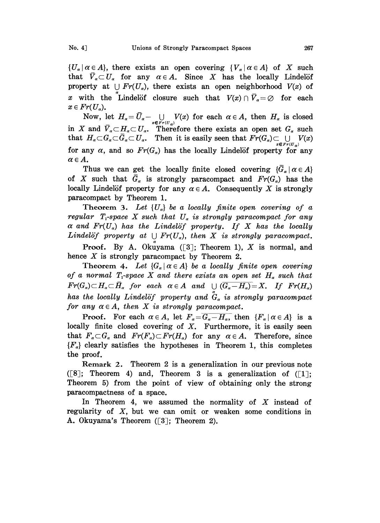${U_{\alpha} | \alpha \in A}$ , there exists an open covering  ${V_{\alpha} | \alpha \in A}$  of X such that  $\bar{V}_\alpha \subset U_\alpha$  for any  $\alpha \in A$ . Since X has the locally Lindelöf property at  $\bigcup Fr(U_\alpha)$ , there exists an open neighborhood  $V(x)$  of x with the Lindelöf closure such that  $V(x) \cap \bar{V}_a = \emptyset$  for each  $x \in Fr(U_\alpha)$ .

Now, let  $H_{\alpha} = \overline{U}_{\alpha} - \bigcup_{x \in \text{Fr}(U_{\alpha})} V(x)$  for each  $\alpha \in A$ , then  $H_{\alpha}$  is closed<br>in X and  $\overline{V}_{\alpha} \subset H_{\alpha} \subset U_{\alpha}$ . Therefore there exists an open set  $G_{\alpha}$  such that  $H_{\alpha} \subset G_{\alpha} \subset \overline{G}_{\alpha} \subset U_{\alpha}$ . Then it is easily seen that  $\overline{Fr}(G_{\alpha}) \subset \bigcup_{x \in Fr(U_{\alpha})} V(x)$ for any  $\alpha$ , and so  $Fr(G_{\alpha})$  has the locally Lindelöf property for any  $\alpha \in A$ .

Thus we can get the locally finite closed covering  $\{G_\alpha \mid \alpha \in A\}$ of X such that  $\bar{G}_\alpha$  is strongly paracompact and  $Fr(G_\alpha)$  has the locally Lindelöf property for any  $\alpha \in A$ . Consequently X is strongly paracompact by Theorem 1.

Theorem 3. Let  $\{U_a\}$  be a locally finite open covering of a regular  $T_1$ -space X such that  $U_a$  is strongly paracompact for any  $\alpha$  and  $Fr(U_\alpha)$  has the Lindelöf property. If X has the locally Lindelöf property at  $\bigcup Fr(U_\alpha)$ , then X is strongly paracompact.

**Proof.** By A. Okuyama  $([3]$ ; Theorem 1), X is normal, and hence  $X$  is strongly paracompact by Theorem 2.

Theorem 4. Let  $\{G_{\alpha} | \alpha \in A\}$  be a locally finite open covering of a normal T<sub>1</sub>-space X and there exists an open set  $H_\alpha$  such that  $Fr(G_{\alpha})\subset H_{\alpha}\subset \bar{H}_{\alpha}$  for each  $\alpha \in A$  and  $\bigcup (\overline{G_{\alpha}-H_{\alpha}})=X$ . If  $Fr(H_{\alpha})$ has the locally Lindelöf property and  $\ddot{G}_\alpha$  is strongly paracompact for any  $\alpha \in A$ , then X is strongly paracompact.

**Proof.** For each  $\alpha \in A$ , let  $F_{\alpha} = \overline{G_{\alpha} - H_{\alpha}}$ , then  $\{F_{\alpha} | \alpha \in A\}$  is a locally finite closed covering of  $X$ . Furthermore, it is easily seen that  $F_{\alpha} \subset G_{\alpha}$  and  $Fr(F_{\alpha}) \subset Fr(H_{\alpha})$  for any  $\alpha \in A$ . Therefore, since  ${F<sub>a</sub>}$  clearly satisfies the hypotheses in Theorem 1, this completes the proof.

Remark 2. Theorem 2 is a generalization in our previous note ([8]; Theorem 4) and, Theorem 3 is a generalization of  $(1]$ ; Theorem 5) from the point of view of obtaining only the strong paracompactness of a space.

In Theorem 4, we assumed the normality of  $X$  instead of regularity of  $X$ , but we can omit or weaken some conditions in A. Okuyama's Theorem ([3]; Theorem 2).